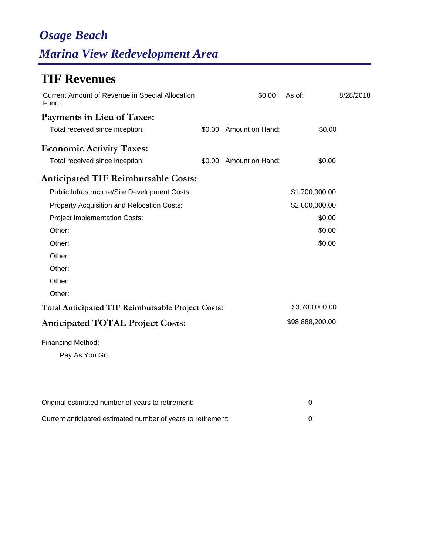# *Osage Beach Marina View Redevelopment Area*

## **TIF Revenues**

| <b>Current Amount of Revenue in Special Allocation</b><br>Fund: |        | \$0.00                 | As of:          | 8/28/2018 |
|-----------------------------------------------------------------|--------|------------------------|-----------------|-----------|
| Payments in Lieu of Taxes:                                      |        |                        |                 |           |
| Total received since inception:                                 |        | \$0.00 Amount on Hand: | \$0.00          |           |
| <b>Economic Activity Taxes:</b>                                 |        |                        |                 |           |
| Total received since inception:                                 | \$0.00 | Amount on Hand:        | \$0.00          |           |
| <b>Anticipated TIF Reimbursable Costs:</b>                      |        |                        |                 |           |
| Public Infrastructure/Site Development Costs:                   |        |                        | \$1,700,000.00  |           |
| Property Acquisition and Relocation Costs:                      |        |                        | \$2,000,000.00  |           |
| <b>Project Implementation Costs:</b>                            |        |                        | \$0.00          |           |
| Other:                                                          |        |                        | \$0.00          |           |
| Other:                                                          |        |                        | \$0.00          |           |
| Other:                                                          |        |                        |                 |           |
| Other:                                                          |        |                        |                 |           |
| Other:                                                          |        |                        |                 |           |
| Other:                                                          |        |                        |                 |           |
| <b>Total Anticipated TIF Reimbursable Project Costs:</b>        |        |                        | \$3,700,000.00  |           |
| <b>Anticipated TOTAL Project Costs:</b>                         |        |                        | \$98,888,200.00 |           |
| Financing Method:                                               |        |                        |                 |           |
| Pay As You Go                                                   |        |                        |                 |           |
|                                                                 |        |                        |                 |           |
|                                                                 |        |                        |                 |           |

| Original estimated number of years to retirement:            |  |
|--------------------------------------------------------------|--|
| Current anticipated estimated number of years to retirement: |  |